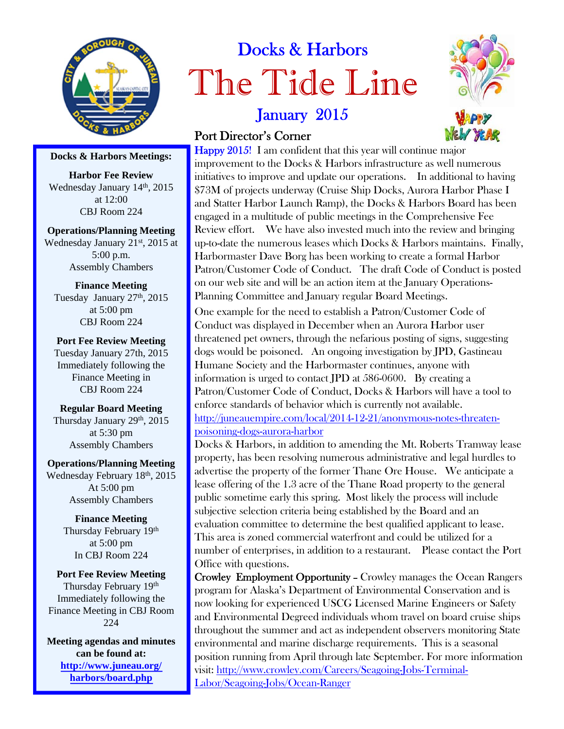

## **Docks & Harbors Meetings:**

**Harbor Fee Review** Wednesday January 14<sup>th</sup>, 2015 at 12:00 CBJ Room 224

**Operations/Planning Meeting** Wednesday January 21<sup>st</sup>, 2015 at 5:00 p.m.

Assembly Chambers **Finance Meeting**

Tuesday January 27<sup>th</sup>, 2015 at 5:00 pm CBJ Room 224

## **Port Fee Review Meeting**

Tuesday January 27th, 2015 Immediately following the Finance Meeting in CBJ Room 224

**Regular Board Meeting** Thursday January 29<sup>th</sup>, 2015 at 5:30 pm Assembly Chambers

## **Operations/Planning Meeting**

Wednesday February 18th, 2015 At 5:00 pm Assembly Chambers

> **Finance Meeting** Thursday February 19th at 5:00 pm In CBJ Room 224

## **Port Fee Review Meeting**

Thursday February 19th Immediately following the Finance Meeting in CBJ Room 224

**Meeting agendas and minutes can be found at: http://www.juneau.org/ harbors/board.php**

# Docks & Harbors The Tide Line

## January 2015

## Port Director's Corner



Happy 2015! I am confident that this year will continue major improvement to the Docks & Harbors infrastructure as well numerous initiatives to improve and update our operations. In additional to having \$73M of projects underway (Cruise Ship Docks, Aurora Harbor Phase I and Statter Harbor Launch Ramp), the Docks & Harbors Board has been engaged in a multitude of public meetings in the Comprehensive Fee Review effort. We have also invested much into the review and bringing up-to-date the numerous leases which Docks & Harbors maintains. Finally, Harbormaster Dave Borg has been working to create a formal Harbor Patron/Customer Code of Conduct. The draft Code of Conduct is posted on our web site and will be an action item at the January Operations-Planning Committee and January regular Board Meetings.

One example for the need to establish a Patron/Customer Code of Conduct was displayed in December when an Aurora Harbor user threatened pet owners, through the nefarious posting of signs, suggesting dogs would be poisoned. An ongoing investigation by JPD, Gastineau Humane Society and the Harbormaster continues, anyone with information is urged to contact JPD at 586-0600. By creating a Patron/Customer Code of Conduct, Docks & Harbors will have a tool to enforce standards of behavior which is currently not available. http://juneauempire.com/local/2014-12-21/anonymous-notes-threatenpoisoning-dogs-aurora-harbor

Docks & Harbors, in addition to amending the Mt. Roberts Tramway lease property, has been resolving numerous administrative and legal hurdles to advertise the property of the former Thane Ore House. We anticipate a lease offering of the 1.3 acre of the Thane Road property to the general public sometime early this spring. Most likely the process will include subjective selection criteria being established by the Board and an evaluation committee to determine the best qualified applicant to lease. This area is zoned commercial waterfront and could be utilized for a number of enterprises, in addition to a restaurant. Please contact the Port Office with questions.

Crowley Employment Opportunity – Crowley manages the Ocean Rangers program for Alaska's Department of Environmental Conservation and is now looking for experienced USCG Licensed Marine Engineers or Safety and Environmental Degreed individuals whom travel on board cruise ships throughout the summer and act as independent observers monitoring State environmental and marine discharge requirements. This is a seasonal position running from April through late September. For more information visit: http://www.crowley.com/Careers/Seagoing-Jobs-Terminal-Labor/Seagoing-Jobs/Ocean-Ranger